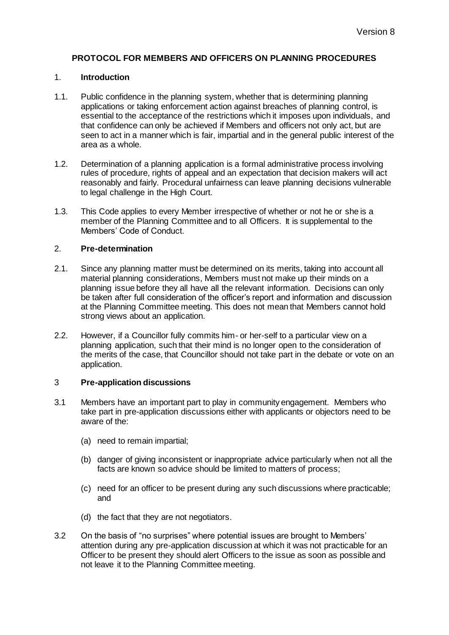# **PROTOCOL FOR MEMBERS AND OFFICERS ON PLANNING PROCEDURES**

### 1. **Introduction**

- 1.1. Public confidence in the planning system, whether that is determining planning applications or taking enforcement action against breaches of planning control, is essential to the acceptance of the restrictions which it imposes upon individuals, and that confidence can only be achieved if Members and officers not only act, but are seen to act in a manner which is fair, impartial and in the general public interest of the area as a whole.
- 1.2. Determination of a planning application is a formal administrative process involving rules of procedure, rights of appeal and an expectation that decision makers will act reasonably and fairly. Procedural unfairness can leave planning decisions vulnerable to legal challenge in the High Court.
- 1.3. This Code applies to every Member irrespective of whether or not he or she is a member of the Planning Committee and to all Officers. It is supplemental to the Members' Code of Conduct.

### 2. **Pre-determination**

- 2.1. Since any planning matter must be determined on its merits, taking into account all material planning considerations, Members must not make up their minds on a planning issue before they all have all the relevant information. Decisions can only be taken after full consideration of the officer's report and information and discussion at the Planning Committee meeting. This does not mean that Members cannot hold strong views about an application.
- 2.2. However, if a Councillor fully commits him- or her-self to a particular view on a planning application, such that their mind is no longer open to the consideration of the merits of the case, that Councillor should not take part in the debate or vote on an application.

#### 3 **Pre-application discussions**

- 3.1 Members have an important part to play in community engagement. Members who take part in pre-application discussions either with applicants or objectors need to be aware of the:
	- (a) need to remain impartial;
	- (b) danger of giving inconsistent or inappropriate advice particularly when not all the facts are known so advice should be limited to matters of process;
	- (c) need for an officer to be present during any such discussions where practicable; and
	- (d) the fact that they are not negotiators.
- 3.2 On the basis of "no surprises" where potential issues are brought to Members' attention during any pre-application discussion at which it was not practicable for an Officer to be present they should alert Officers to the issue as soon as possible and not leave it to the Planning Committee meeting.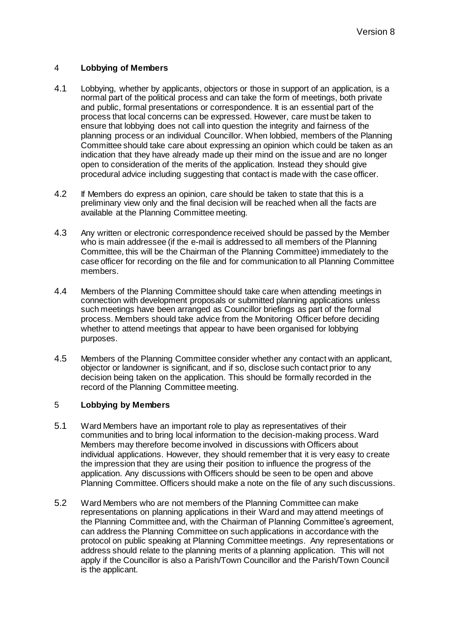# 4 **Lobbying of Members**

- 4.1 Lobbying, whether by applicants, objectors or those in support of an application, is a normal part of the political process and can take the form of meetings, both private and public, formal presentations or correspondence. It is an essential part of the process that local concerns can be expressed. However, care must be taken to ensure that lobbying does not call into question the integrity and fairness of the planning process or an individual Councillor. When lobbied, members of the Planning Committee should take care about expressing an opinion which could be taken as an indication that they have already made up their mind on the issue and are no longer open to consideration of the merits of the application. Instead they should give procedural advice including suggesting that contact is made with the case officer.
- 4.2 If Members do express an opinion, care should be taken to state that this is a preliminary view only and the final decision will be reached when all the facts are available at the Planning Committee meeting.
- 4.3 Any written or electronic correspondence received should be passed by the Member who is main addressee (if the e-mail is addressed to all members of the Planning Committee, this will be the Chairman of the Planning Committee) immediately to the case officer for recording on the file and for communication to all Planning Committee members.
- 4.4 Members of the Planning Committee should take care when attending meetings in connection with development proposals or submitted planning applications unless such meetings have been arranged as Councillor briefings as part of the formal process. Members should take advice from the Monitoring Officer before deciding whether to attend meetings that appear to have been organised for lobbying purposes.
- 4.5 Members of the Planning Committee consider whether any contact with an applicant, objector or landowner is significant, and if so, disclose such contact prior to any decision being taken on the application. This should be formally recorded in the record of the Planning Committee meeting.

# 5 **Lobbying by Members**

- 5.1 Ward Members have an important role to play as representatives of their communities and to bring local information to the decision-making process. Ward Members may therefore become involved in discussions with Officers about individual applications. However, they should remember that it is very easy to create the impression that they are using their position to influence the progress of the application. Any discussions with Officers should be seen to be open and above Planning Committee. Officers should make a note on the file of any such discussions.
- 5.2 Ward Members who are not members of the Planning Committee can make representations on planning applications in their Ward and may attend meetings of the Planning Committee and, with the Chairman of Planning Committee's agreement, can address the Planning Committee on such applications in accordance with the protocol on public speaking at Planning Committee meetings. Any representations or address should relate to the planning merits of a planning application. This will not apply if the Councillor is also a Parish/Town Councillor and the Parish/Town Council is the applicant.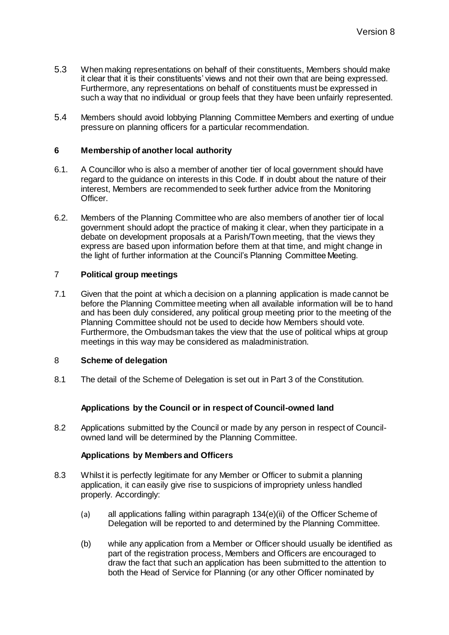- 5.3 When making representations on behalf of their constituents, Members should make it clear that it is their constituents' views and not their own that are being expressed. Furthermore, any representations on behalf of constituents must be expressed in such a way that no individual or group feels that they have been unfairly represented.
- 5.4 Members should avoid lobbying Planning Committee Members and exerting of undue pressure on planning officers for a particular recommendation.

### **6 Membership of another local authority**

- 6.1. A Councillor who is also a member of another tier of local government should have regard to the guidance on interests in this Code. If in doubt about the nature of their interest, Members are recommended to seek further advice from the Monitoring Officer.
- 6.2. Members of the Planning Committee who are also members of another tier of local government should adopt the practice of making it clear, when they participate in a debate on development proposals at a Parish/Town meeting, that the views they express are based upon information before them at that time, and might change in the light of further information at the Council's Planning Committee Meeting.

### 7 **Political group meetings**

7.1 Given that the point at which a decision on a planning application is made cannot be before the Planning Committee meeting when all available information will be to hand and has been duly considered, any political group meeting prior to the meeting of the Planning Committee should not be used to decide how Members should vote. Furthermore, the Ombudsman takes the view that the use of political whips at group meetings in this way may be considered as maladministration.

# 8 **Scheme of delegation**

8.1 The detail of the Scheme of Delegation is set out in Part 3 of the Constitution.

#### **Applications by the Council or in respect of Council-owned land**

8.2 Applications submitted by the Council or made by any person in respect of Councilowned land will be determined by the Planning Committee.

#### **Applications by Members and Officers**

- 8.3 Whilst it is perfectly legitimate for any Member or Officer to submit a planning application, it can easily give rise to suspicions of impropriety unless handled properly. Accordingly:
	- (a) all applications falling within paragraph 134(e)(ii) of the Officer Scheme of Delegation will be reported to and determined by the Planning Committee.
	- (b) while any application from a Member or Officer should usually be identified as part of the registration process, Members and Officers are encouraged to draw the fact that such an application has been submitted to the attention to both the Head of Service for Planning (or any other Officer nominated by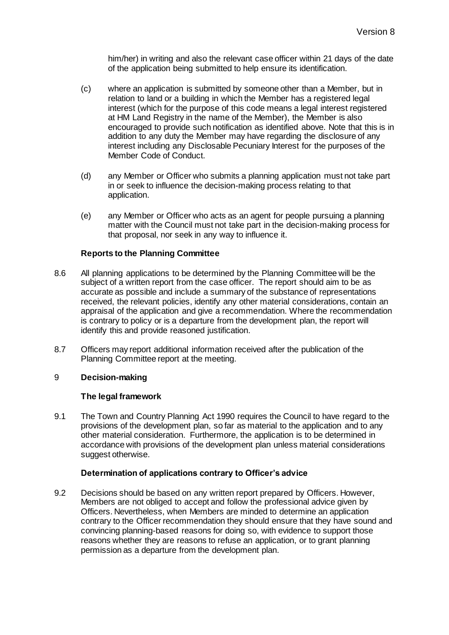him/her) in writing and also the relevant case officer within 21 days of the date of the application being submitted to help ensure its identification.

- (c) where an application is submitted by someone other than a Member, but in relation to land or a building in which the Member has a registered legal interest (which for the purpose of this code means a legal interest registered at HM Land Registry in the name of the Member), the Member is also encouraged to provide such notification as identified above. Note that this is in addition to any duty the Member may have regarding the disclosure of any interest including any Disclosable Pecuniary Interest for the purposes of the Member Code of Conduct.
- (d) any Member or Officer who submits a planning application must not take part in or seek to influence the decision-making process relating to that application.
- (e) any Member or Officer who acts as an agent for people pursuing a planning matter with the Council must not take part in the decision-making process for that proposal, nor seek in any way to influence it.

# **Reports to the Planning Committee**

- 8.6 All planning applications to be determined by the Planning Committee will be the subject of a written report from the case officer. The report should aim to be as accurate as possible and include a summary of the substance of representations received, the relevant policies, identify any other material considerations, contain an appraisal of the application and give a recommendation. Where the recommendation is contrary to policy or is a departure from the development plan, the report will identify this and provide reasoned justification.
- 8.7 Officers may report additional information received after the publication of the Planning Committee report at the meeting.

# 9 **Decision-making**

# **The legal framework**

9.1 The Town and Country Planning Act 1990 requires the Council to have regard to the provisions of the development plan, so far as material to the application and to any other material consideration. Furthermore, the application is to be determined in accordance with provisions of the development plan unless material considerations suggest otherwise.

# **Determination of applications contrary to Officer's advice**

9.2 Decisions should be based on any written report prepared by Officers. However, Members are not obliged to accept and follow the professional advice given by Officers. Nevertheless, when Members are minded to determine an application contrary to the Officer recommendation they should ensure that they have sound and convincing planning-based reasons for doing so, with evidence to support those reasons whether they are reasons to refuse an application, or to grant planning permission as a departure from the development plan.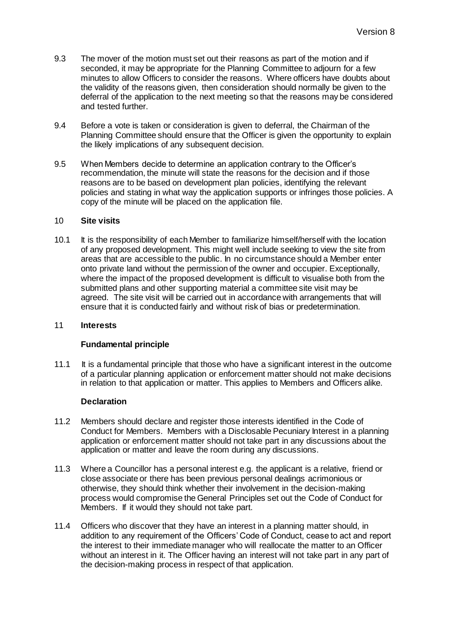- 9.3 The mover of the motion must set out their reasons as part of the motion and if seconded, it may be appropriate for the Planning Committee to adjourn for a few minutes to allow Officers to consider the reasons. Where officers have doubts about the validity of the reasons given, then consideration should normally be given to the deferral of the application to the next meeting so that the reasons may be considered and tested further.
- 9.4 Before a vote is taken or consideration is given to deferral, the Chairman of the Planning Committee should ensure that the Officer is given the opportunity to explain the likely implications of any subsequent decision.
- 9.5 When Members decide to determine an application contrary to the Officer's recommendation, the minute will state the reasons for the decision and if those reasons are to be based on development plan policies, identifying the relevant policies and stating in what way the application supports or infringes those policies. A copy of the minute will be placed on the application file.

### 10 **Site visits**

10.1 It is the responsibility of each Member to familiarize himself/herself with the location of any proposed development. This might well include seeking to view the site from areas that are accessible to the public. In no circumstance should a Member enter onto private land without the permission of the owner and occupier. Exceptionally, where the impact of the proposed development is difficult to visualise both from the submitted plans and other supporting material a committee site visit may be agreed. The site visit will be carried out in accordance with arrangements that will ensure that it is conducted fairly and without risk of bias or predetermination.

#### 11 **Interests**

# **Fundamental principle**

11.1 It is a fundamental principle that those who have a significant interest in the outcome of a particular planning application or enforcement matter should not make decisions in relation to that application or matter. This applies to Members and Officers alike.

# **Declaration**

- 11.2 Members should declare and register those interests identified in the Code of Conduct for Members. Members with a Disclosable Pecuniary Interest in a planning application or enforcement matter should not take part in any discussions about the application or matter and leave the room during any discussions.
- 11.3 Where a Councillor has a personal interest e.g. the applicant is a relative, friend or close associate or there has been previous personal dealings acrimonious or otherwise, they should think whether their involvement in the decision-making process would compromise the General Principles set out the Code of Conduct for Members. If it would they should not take part.
- 11.4 Officers who discover that they have an interest in a planning matter should, in addition to any requirement of the Officers' Code of Conduct, cease to act and report the interest to their immediate manager who will reallocate the matter to an Officer without an interest in it. The Officer having an interest will not take part in any part of the decision-making process in respect of that application.